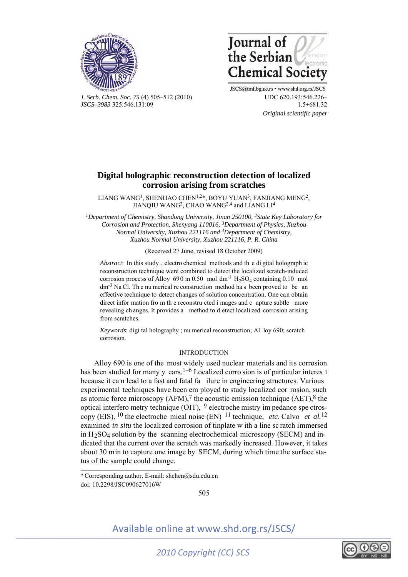



*J. Serb. Chem. Soc. 75* (4) 505–512 (2010) UDC 620.193:546.226– *JSCS–3983* 325:546.131:09 1.5+681.32

JSCS@tmf.bg.ac.rs • www.shd.org.rs/JSCS  *Original scientific paper* 

## **Digital holographic reconstruction detection of localized corrosion arising from scratches**

LIANG WANG<sup>1</sup>, SHENHAO CHEN<sup>1,2\*</sup>, BOYU YUAN<sup>3</sup>, FANJIANG MENG<sup>2</sup>, JIANOIU WANG<sup>2</sup>, CHAO WANG<sup>2,4</sup> and LIANG LI<sup>4</sup>

*1Department of Chemistry, Shandong University, Jinan 250100, 2State Key Laboratory for Corrosion and Protection, Shenyang 110016, 3Department of Physics, Xuzhou Normal University, Xuzhou 221116 and 4Department of Chemistry, Xuzhou Normal University, Xuzhou 221116, P. R. China* 

(Received 27 June, revised 18 October 2009)

*Abstract*: In this study , electro chemical methods and th e di gital holograph ic reconstruction technique were combined to detect the localized scratch-induced corrosion process of Alloy 690 in 0.50 mol dm<sup>-3</sup>  $H_2SO_4$  containing 0.10 mol  $dm^{-3}$  Na Cl. The nu merical reconstruction method has been proved to be an effective technique to detect changes of solution concentration. One can obtain direct infor mation fro m th e reconstru cted i mages and c apture subtle more revealing ch anges. It provides a method to d etect locali zed corrosion arisi ng from scratches.

*Keywords*: digi tal holography ; nu merical reconstruction; Al loy 690; scratch corrosion.

## INTRODUCTION

Alloy 690 is one of the most widely used nuclear materials and its corrosion has been studied for many y ears.<sup>1–6</sup> Localized corro sion is of particular interes t because it ca n lead to a fast and fatal fa ilure in engineering structures. Various experimental techniques have been em ployed to study localized cor rosion, such as atomic force microscopy  $(AFM)$ ,<sup>7</sup> the acoustic emission technique  $(AET)$ ,<sup>8</sup> the optical interfero metry technique (OIT), 9 electroche mistry im pedance spe ctroscopy (EIS), 10 the electroche mical noise (EN) 11 technique, *etc*. Calvo *et al.*12 examined *in situ* the localized corrosion of tinplate w ith a line sc ratch immersed in  $H_2$ SO<sub>4</sub> solution by the scanning electrochemical microscopy (SECM) and indicated that the current over the scratch was markedly increased. However, it takes about 30 min to capture one image by SECM, during which time the surface status of the sample could change.

í

505

Available online at www.shd.org.rs/JSCS/



doi: 10.2298/JSC090627016W \* Corresponding author. E-mail: shchen@sdu.edu.cn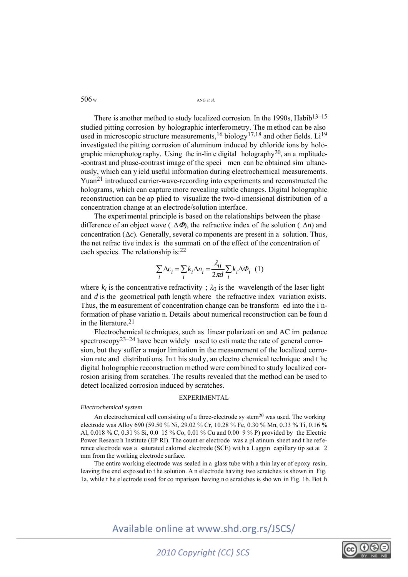There is another method to study localized corrosion. In the 1990s, Habib<sup>13–15</sup> studied pitting corrosion by holographic interferometry. The method can be also used in microscopic structure measurements, <sup>16</sup> biology<sup>17,18</sup> and other fields. Li<sup>19</sup> investigated the pitting corrosion of aluminum induced by chloride ions by holographic microphotog raphy. Using the in-line digital holography<sup>20</sup>, an a mplitude--contrast and phase-contrast image of the speci men can be obtained sim ultaneously, which can y ield useful information during electrochemical measurements. Yuan21 introduced carrier-wave-recording into experiments and reconstructed the holograms, which can capture more revealing subtle changes. Digital holographic reconstruction can be ap plied to visualize the two-d imensional distribution of a concentration change at an electrode/solution interface.

The experimental principle is based on the relationships between the phase difference of an object wave  $(\Delta \Phi)$ , the refractive index of the solution  $(\Delta n)$  and concentration  $(\Delta c)$ . Generally, several components are present in a solution. Thus, the net refrac tive index is the summati on of the effect of the concentration of each species. The relationship is:22

$$
\sum_{i} \Delta c_i = \sum_{i} k_i \Delta n_i = \frac{\lambda_0}{2\pi d} \sum_{i} k_i \Delta \Phi_i
$$
 (1)

where  $k_i$  is the concentrative refractivity ;  $\lambda_0$  is the wavelength of the laser light and *d* is the geometrical path length where the refractive index variation exists. Thus, the m easurement of concentration change can be transform ed into the i nformation of phase variatio n. Details about numerical reconstruction can be foun d in the literature.21

Electrochemical te chniques, such as linear polarizati on and AC im pedance spectroscopy<sup>23–24</sup> have been widely used to esti mate the rate of general corrosion, but they suffer a major limitation in the measurement of the localized corrosion rate and distributi ons. In t his stud y, an electro chemical technique and t he digital holographic reconstruction method were combined to study localized corrosion arising from scratches. The results revealed that the method can be used to detect localized corrosion induced by scratches.

### EXPERIMENTAL

## *Electrochemical system*

An electrochemical cell con sisting of a three-electrode sy stem<sup>20</sup> was used. The working electrode was Alloy 690 (59.50 % Ni, 29.02 % Cr, 10.28 % Fe, 0.30 % Mn, 0.33 % Ti, 0.16 % Al, 0.018 % C, 0.31 % Si, 0.0 15 % Co, 0.01 % Cu and 0.00 9 % P) provided by the Electric Power Research Institute (EP RI). The count er electrode was a pl atinum sheet and t he reference electrode was a saturated calomel electrode (SCE) wit h a Luggin capillary tip set at 2 mm from the working electrode surface.

The entire working electrode was sealed in a glass tube with a thin lay er of epoxy resin, leaving the end exposed to t he solution. A n electrode having two scratches is shown in Fig. 1a, while t he e lectrode u sed for co mparison having n o scrat ches is sho wn in Fig. 1b. Bot h

Available online at www.shd.org.rs/JSCS/



506 W ANG *et al*.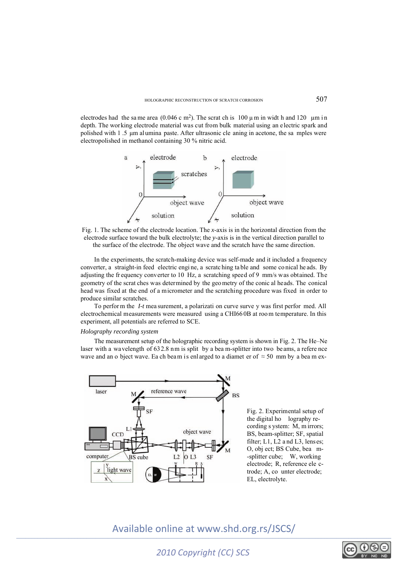electrodes had the same area (0.046 c m<sup>2</sup>). The scrat ch is 100  $\mu$ m in widt h and 120  $\mu$ m in depth. The working electrode material was cut from bulk material using an electric spark and polished with 1 .5 μm alumina paste. After ultrasonic cle aning in acetone, the sa mples were electropolished in methanol containing 30 % nitric acid.



Fig. 1. The scheme of the electrode location. The *x*-axis is in the horizontal direction from the electrode surface toward the bulk electrolyte; the *y*-axis is in the vertical direction parallel to the surface of the electrode. The object wave and the scratch have the same direction.

In the experiments, the scratch-making device was self-made and it included a frequency converter, a straight-in feed electric engi ne, a scratc hing ta ble and some co nical he ads. By adjusting the fr equency converter to 10 Hz, a scratching speed of 9 mm/s was obtained. The geometry of the scrat ches was determined by the geo metry of the conic al heads. The conical head was fixed at the end of a micrometer and the scratching procedure was fixed in order to produce similar scratches.

To perfor m the *I-t* mea surement, a polarizati on curve surve y was first perfor med. All electrochemical measurements were measured using a CHI66 0B at roo m temperature. In this experiment, all potentials are referred to SCE.

## *Holography recording system*

The measurement setup of the holographic recording system is shown in Fig. 2. The He–Ne laser with a wavelength of 632.8 nm is split by a bea m-splitter into two beams, a refere nce wave and an o bject wave. Ea ch beam is enlarged to a diamet er of  $\approx$  50 mm by a beam ex-



Fig. 2. Experimental setup of the digital ho lography recording s ystem: M, m irrors; BS, beam-splitter; SF, spatial filter; L1, L2 a nd L3, lenses; O, obj ect; BS Cube, bea m- -splitter cube; W, working electrode; R, reference ele ctrode; A, co unter electrode; EL, electrolyte.

## Available online at www.shd.org.rs/JSCS/

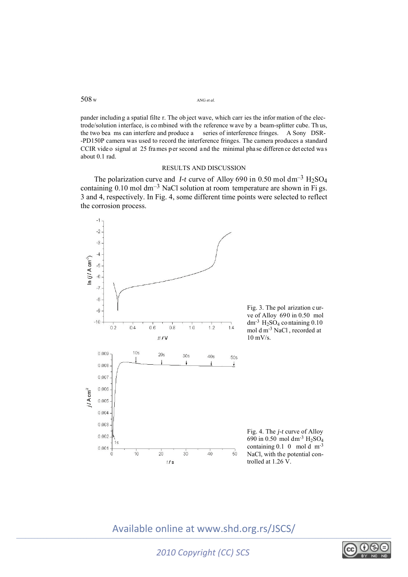508 W ANG *et al*.

pander including a spatial filte r. The ob ject wave, which carr ies the infor mation of the electrode/solution interface, is co mbined with the reference wave by a beam-splitter cube. Th us, the two bea ms can interfere and produce a series of interference fringes. A Sony DSR- -PD150P camera was used to record the interference fringes. The camera produces a standard CCIR vide o signal at 25 frames per second and the minimal pha se difference detected was about 0.1 rad.

## RESULTS AND DISCUSSION

The polarization curve and *I-t* curve of Alloy 690 in 0.50 mol dm<sup>-3</sup> H<sub>2</sub>SO<sub>4</sub> containing  $0.10$  mol dm<sup>-3</sup> NaCl solution at room temperature are shown in Fi gs. 3 and 4, respectively. In Fig. 4, some different time points were selected to reflect the corrosion process.



# Available online at www.shd.org.rs/JSCS/

*2010 Copyright (CC) SCS*

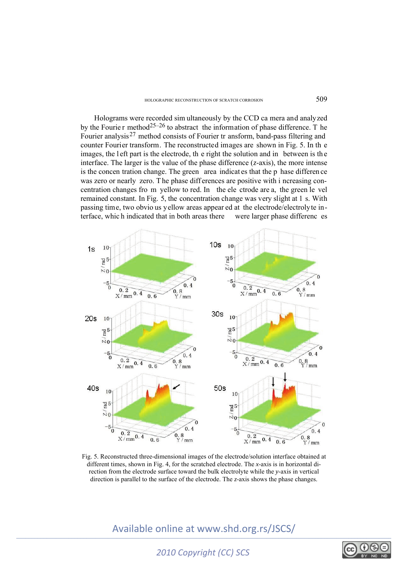Holograms were recorded sim ultaneously by the CCD ca mera and analyzed by the Fourie r method<sup>25–26</sup> to abstract the information of phase difference. T he Fourier analysis<sup>27</sup> method consists of Fourier tr ansform, band-pass filtering and counter Fourier transform. The reconstructed images are shown in Fig. 5. In th e images, the left part is the electrode, the right the solution and in between is the interface. The larger is the value of the phase difference (*z*-axis), the more intense is the concen tration change. The green area indicat es that the p hase differen ce was zero or nearly zero. The phase differences are positive with i ncreasing concentration changes fro m yellow to red. In the ele ctrode are a, the green le vel remained constant. In Fig. 5, the concentration change was very slight at 1 s. With passing time, two obvio us yellow areas appear ed at the electrode/electrolyte interface, whic h indicated that in both areas there were larger phase differenc es



Fig. 5. Reconstructed three-dimensional images of the electrode/solution interface obtained at different times, shown in Fig. 4, for the scratched electrode. The *x*-axis is in horizontal direction from the electrode surface toward the bulk electrolyte while the *y*-axis in vertical direction is parallel to the surface of the electrode. The *z*-axis shows the phase changes.

Available online at www.shd.org.rs/JSCS/



*2010 Copyright (CC) SCS*

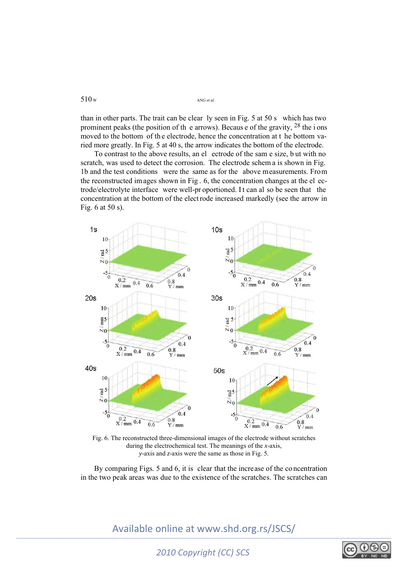than in other parts. The trait can be clear ly seen in Fig. 5 at 50 s which has two prominent peaks (the position of th e arrows). Becaus e of the gravity, 28 the i ons moved to the bottom of th e electrode, hence the concentration at t he bottom varied more greatly. In Fig. 5 at 40 s, the arrow indicates the bottom of the electrode.

To contrast to the above results, an el ectrode of the sam e size, b ut with no scratch, was used to detect the corrosion. The electrode schem a is shown in Fig. 1b and the test conditions were the same as for the above measurements. From the reconstructed images shown in Fig . 6, the concentration changes at the el ectrode/electrolyte interface were well-pr oportioned. I t can al so be seen that the concentration at the bottom of the elect rode increased markedly (see the arrow in Fig. 6 at 50 s).



Fig. 6. The reconstructed three-dimensional images of the electrode without scratches during the electrochemical test. The meanings of the *x*-axis, *y*-axis and *z*-axis were the same as those in Fig. 5.

By comparing Figs. 5 and 6, it is clear that the increase of the co ncentration in the two peak areas was due to the existence of the scratches. The scratches can

Available online at www.shd.org.rs/JSCS/

*2010 Copyright (CC) SCS*



 $510 \text{ w}$  ANG *et al.*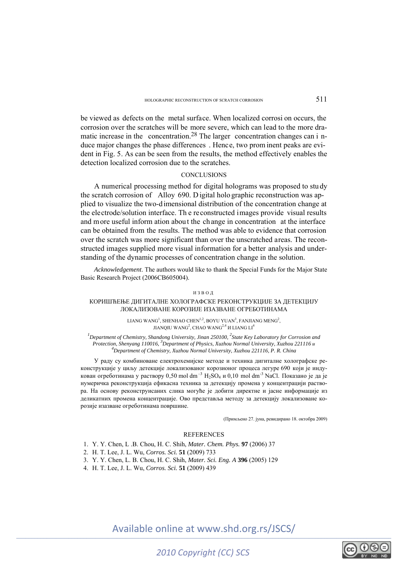be viewed as defects on the metal surface. When localized corrosi on occurs, the corrosion over the scratches will be more severe, which can lead to the more dramatic increase in the concentration.<sup>28</sup> The larger concentration changes can i nduce major changes the phase differences . Hence, two prom inent peaks are evident in Fig. 5. As can be seen from the results, the method effectively enables the detection localized corrosion due to the scratches.

## **CONCLUSIONS**

A numerical processing method for digital holograms was proposed to stu dy the scratch corrosion of Alloy 690. D igital holo graphic reconstruction was applied to visualize the two-dimensional distribution of the concentration change at the electrode/solution interface. Th e reconstructed images provide visual results and more useful inform ation about the ch ange in concentration at the interface can be obtained from the results. The method was able to evidence that corrosion over the scratch was more significant than over the unscratched areas. The reconstructed images supplied more visual information for a better analysis and understanding of the dynamic processes of concentration change in the solution.

*Acknowledgement*. The authors would like to thank the Special Funds for the Major State Basic Research Project (2006CB605004).

### ИЗВОД

## КОРИШЋЕЊЕ ДИГИТАЛНЕ ХОЛОГРАФСКЕ РЕКОНСТРУКЦИЈЕ ЗА ДЕТЕКЦИЈУ ЛОКАЛИЗОВАНЕ КОРОЗИЈЕ ИЗАЗВАНЕ ОГРЕБОТИНАМА

LIANG WANG<sup>1</sup>, SHENHAO CHEN<sup>1,2</sup>, BOYU YUAN<sup>3</sup>, FANJIANG MENG<sup>2</sup>, JIANQIU WANG $^2$ , CHAO WANG $^{2,4}$   $\rm{H}$  LIANG LI $^4$ 

<sup>1</sup>Department of Chemistry, Shandong University, Jinan 250100, <sup>2</sup>State Key Laboratory for Corrosion and *Protection, Shenyang 110016, <sup>3</sup>Department of Physics, Xuzhou Normal University, Xuzhou 221116 <i>u*  $4P$ *Department of Chemistry, Xuzhou Normal University, Xuzhou 221116, P. R. China* 

У раду су комбиноване електрохемијске методе и техника дигиталне холографске реконструкције у циљу детекције локализованог корозионог процеса легуре 690 који је индукован огреботинама у раствору 0,50 mol dm<sup>-3</sup> H<sub>2</sub>SO<sub>4</sub> и 0,10 mol dm<sup>-3</sup> NaCl. Показано је да је нумеричка реконструкција ефикасна техника за детекцију промена у концентрацији раствора. На основу реконструисаних слика могуће је добити директне и јасне информације из деликатних промена концентрације. Ово представља методу за детекцију локализоване корозије изазване огреботинама површине.

(Примљено 27. јуна, ревидирано 18. октобра 2009)

## **REFERENCES**

- 1. Y. Y. Chen, L .B. Chou, H. C. Shih, *Mater. Chem. Phys.* **97** (2006) 37
- 2. H. T. Lee, J. L. Wu, *Corros. Sci.* **51** (2009) 733
- 3. Y. Y. Chen, L. B. Chou, H. C. Shih, *Mater. Sci. Eng. A* **396** (2005) 129
- 4. H. T. Lee, J. L. Wu, *Corros. Sci.* **51** (2009) 439

Available online at www.shd.org.rs/JSCS/



*2010 Copyright (CC) SCS*